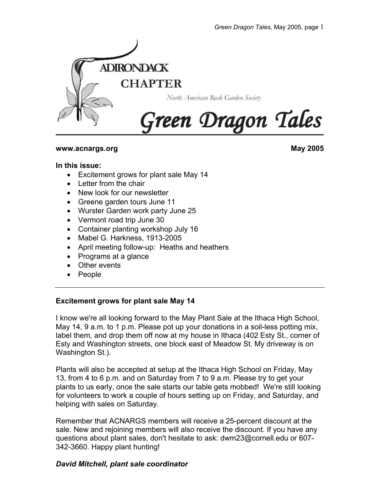

## **www.acnargs.org May 2005**

#### **In this issue:**

- Excitement grows for plant sale May 14
- Letter from the chair
- New look for our newsletter
- Greene garden tours June 11
- Wurster Garden work party June 25
- Vermont road trip June 30
- Container planting workshop July 16
- Mabel G. Harkness, 1913-2005
- April meeting follow-up: Heaths and heathers
- Programs at a glance
- Other events
- People

### **Excitement grows for plant sale May 14**

I know we're all looking forward to the May Plant Sale at the Ithaca High School, May 14, 9 a.m. to 1 p.m. Please pot up your donations in a soil-less potting mix, label them, and drop them off now at my house in Ithaca (402 Esty St., corner of Esty and Washington streets, one block east of Meadow St. My driveway is on Washington St.).

Plants will also be accepted at setup at the Ithaca High School on Friday, May 13, from 4 to 6 p.m. and on Saturday from 7 to 9 a.m. Please try to get your plants to us early, once the sale starts our table gets mobbed! We're still looking for volunteers to work a couple of hours setting up on Friday, and Saturday, and helping with sales on Saturday.

Remember that ACNARGS members will receive a 25-percent discount at the sale. New and rejoining members will also receive the discount. If you have any questions about plant sales, don't hesitate to ask: dwm23@cornell.edu or 607- 342-3660. Happy plant hunting!

## *David Mitchell, plant sale coordinator*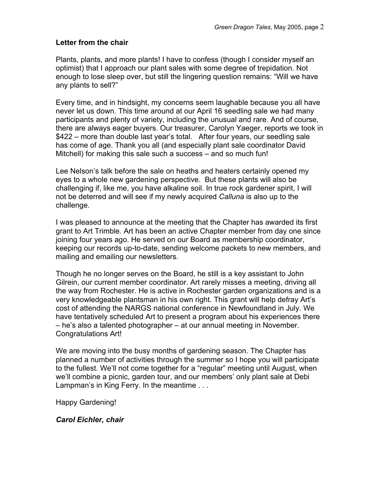## **Letter from the chair**

Plants, plants, and more plants! I have to confess (though I consider myself an optimist) that I approach our plant sales with some degree of trepidation. Not enough to lose sleep over, but still the lingering question remains: "Will we have any plants to sell?"

Every time, and in hindsight, my concerns seem laughable because you all have never let us down. This time around at our April 16 seedling sale we had many participants and plenty of variety, including the unusual and rare. And of course, there are always eager buyers. Our treasurer, Carolyn Yaeger, reports we took in \$422 – more than double last year's total. After four years, our seedling sale has come of age. Thank you all (and especially plant sale coordinator David Mitchell) for making this sale such a success – and so much fun!

Lee Nelson's talk before the sale on heaths and heaters certainly opened my eyes to a whole new gardening perspective. But these plants will also be challenging if, like me, you have alkaline soil. In true rock gardener spirit, I will not be deterred and will see if my newly acquired *Calluna* is also up to the challenge.

I was pleased to announce at the meeting that the Chapter has awarded its first grant to Art Trimble. Art has been an active Chapter member from day one since joining four years ago. He served on our Board as membership coordinator, keeping our records up-to-date, sending welcome packets to new members, and mailing and emailing our newsletters.

Though he no longer serves on the Board, he still is a key assistant to John Gilrein, our current member coordinator. Art rarely misses a meeting, driving all the way from Rochester. He is active in Rochester garden organizations and is a very knowledgeable plantsman in his own right. This grant will help defray Art's cost of attending the NARGS national conference in Newfoundland in July. We have tentatively scheduled Art to present a program about his experiences there – he's also a talented photographer – at our annual meeting in November. Congratulations Art!

We are moving into the busy months of gardening season. The Chapter has planned a number of activities through the summer so I hope you will participate to the fullest. We'll not come together for a "regular" meeting until August, when we'll combine a picnic, garden tour, and our members' only plant sale at Debi Lampman's in King Ferry. In the meantime . . .

Happy Gardening!

*Carol Eichler, chair*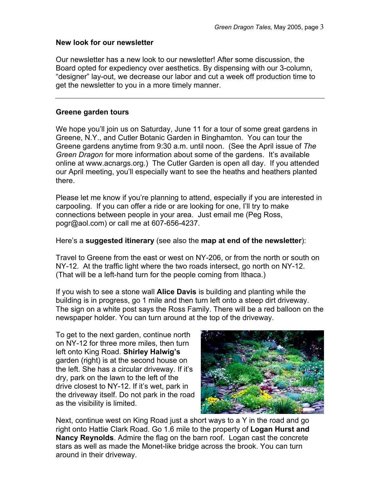#### **New look for our newsletter**

Our newsletter has a new look to our newsletter! After some discussion, the Board opted for expediency over aesthetics. By dispensing with our 3-column, "designer" lay-out, we decrease our labor and cut a week off production time to get the newsletter to you in a more timely manner.

#### **Greene garden tours**

We hope you'll join us on Saturday, June 11 for a tour of some great gardens in Greene, N.Y., and Cutler Botanic Garden in Binghamton. You can tour the Greene gardens anytime from 9:30 a.m. until noon. (See the April issue of *The Green Dragon* for more information about some of the gardens. It's available online at www.acnargs.org.) The Cutler Garden is open all day. If you attended our April meeting, you'll especially want to see the heaths and heathers planted there.

Please let me know if you're planning to attend, especially if you are interested in carpooling. If you can offer a ride or are looking for one, I'll try to make connections between people in your area. Just email me (Peg Ross, pogr@aol.com) or call me at 607-656-4237.

#### Here's a **suggested itinerary** (see also the **map at end of the newsletter**):

Travel to Greene from the east or west on NY-206, or from the north or south on NY-12. At the traffic light where the two roads intersect, go north on NY-12. (That will be a left-hand turn for the people coming from Ithaca.)

If you wish to see a stone wall **Alice Davis** is building and planting while the building is in progress, go 1 mile and then turn left onto a steep dirt driveway. The sign on a white post says the Ross Family. There will be a red balloon on the newspaper holder. You can turn around at the top of the driveway.

To get to the next garden, continue north on NY-12 for three more miles, then turn left onto King Road. **Shirley Halwig's** garden (right) is at the second house on the left. She has a circular driveway. If it's dry, park on the lawn to the left of the drive closest to NY-12. If it's wet, park in the driveway itself. Do not park in the road as the visibility is limited.



Next, continue west on King Road just a short ways to a Y in the road and go right onto Hattie Clark Road. Go 1.6 mile to the property of **Logan Hurst and Nancy Reynolds**. Admire the flag on the barn roof. Logan cast the concrete stars as well as made the Monet-like bridge across the brook. You can turn around in their driveway.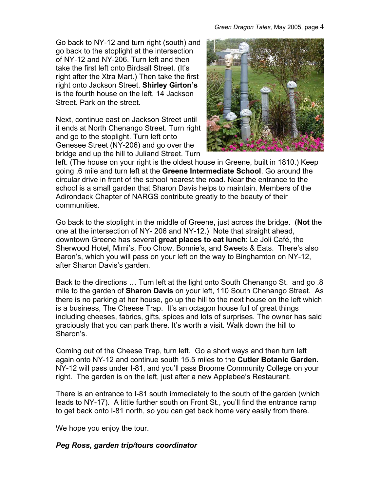Go back to NY-12 and turn right (south) and go back to the stoplight at the intersection of NY-12 and NY-206. Turn left and then take the first left onto Birdsall Street. (It's right after the Xtra Mart.) Then take the first right onto Jackson Street. **Shirley Girton's** is the fourth house on the left, 14 Jackson Street. Park on the street.

Next, continue east on Jackson Street until it ends at North Chenango Street. Turn right and go to the stoplight. Turn left onto Genesee Street (NY-206) and go over the bridge and up the hill to Juliand Street. Turn



left. (The house on your right is the oldest house in Greene, built in 1810.) Keep going .6 mile and turn left at the **Greene Intermediate School**. Go around the circular drive in front of the school nearest the road. Near the entrance to the school is a small garden that Sharon Davis helps to maintain. Members of the Adirondack Chapter of NARGS contribute greatly to the beauty of their communities.

Go back to the stoplight in the middle of Greene, just across the bridge. (**Not** the one at the intersection of NY- 206 and NY-12.) Note that straight ahead, downtown Greene has several **great places to eat lunch**: Le Joli Café, the Sherwood Hotel, Mimi's, Foo Chow, Bonnie's, and Sweets & Eats. There's also Baron's, which you will pass on your left on the way to Binghamton on NY-12, after Sharon Davis's garden.

Back to the directions … Turn left at the light onto South Chenango St. and go .8 mile to the garden of **Sharon Davis** on your left, 110 South Chenango Street. As there is no parking at her house, go up the hill to the next house on the left which is a business, The Cheese Trap. It's an octagon house full of great things including cheeses, fabrics, gifts, spices and lots of surprises. The owner has said graciously that you can park there. It's worth a visit. Walk down the hill to Sharon's.

Coming out of the Cheese Trap, turn left. Go a short ways and then turn left again onto NY-12 and continue south 15.5 miles to the **Cutler Botanic Garden.** NY-12 will pass under I-81, and you'll pass Broome Community College on your right. The garden is on the left, just after a new Applebee's Restaurant.

There is an entrance to I-81 south immediately to the south of the garden (which leads to NY-17). A little further south on Front St., you'll find the entrance ramp to get back onto I-81 north, so you can get back home very easily from there.

We hope you enjoy the tour.

## *Peg Ross, garden trip/tours coordinator*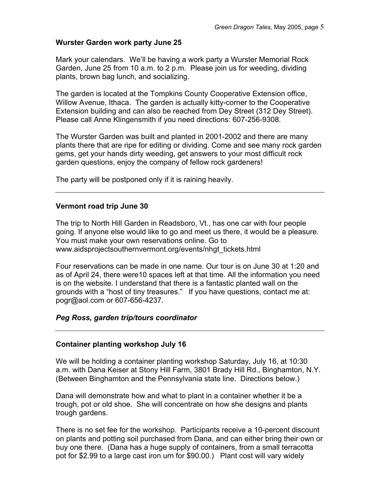#### **Wurster Garden work party June 25**

Mark your calendars. We'll be having a work party a Wurster Memorial Rock Garden, June 25 from 10 a.m. to 2 p.m. Please join us for weeding, dividing plants, brown bag lunch, and socializing.

The garden is located at the Tompkins County Cooperative Extension office, Willow Avenue, Ithaca. The garden is actually kitty-corner to the Cooperative Extension building and can also be reached from Dey Street (312 Dey Street). Please call Anne Klingensmith if you need directions: 607-256-9308.

The Wurster Garden was built and planted in 2001-2002 and there are many plants there that are ripe for editing or dividing. Come and see many rock garden gems, get your hands dirty weeding, get answers to your most difficult rock garden questions, enjoy the company of fellow rock gardeners!

The party will be postponed only if it is raining heavily.

#### **Vermont road trip June 30**

The trip to North Hill Garden in Readsboro, Vt., has one car with four people going. If anyone else would like to go and meet us there, it would be a pleasure. You must make your own reservations online. Go to www.aidsprojectsouthernvermont.org/events/nhgt\_tickets.html

Four reservations can be made in one name. Our tour is on June 30 at 1:20 and as of April 24, there were10 spaces left at that time. All the information you need is on the website. I understand that there is a fantastic planted wall on the grounds with a "host of tiny treasures." If you have questions, contact me at: pogr@aol.com or 607-656-4237.

### *Peg Ross, garden trip/tours coordinator*

#### **Container planting workshop July 16**

We will be holding a container planting workshop Saturday, July 16, at 10:30 a.m. with Dana Keiser at Stony Hill Farm, 3801 Brady Hill Rd., Binghamton, N.Y. (Between Binghamton and the Pennsylvania state line. Directions below.)

Dana will demonstrate how and what to plant in a container whether it be a trough, pot or old shoe. She will concentrate on how she designs and plants trough gardens.

There is no set fee for the workshop. Participants receive a 10-percent discount on plants and potting soil purchased from Dana, and can either bring their own or buy one there. (Dana has a huge supply of containers, from a small terracotta pot for \$2.99 to a large cast iron urn for \$90.00.) Plant cost will vary widely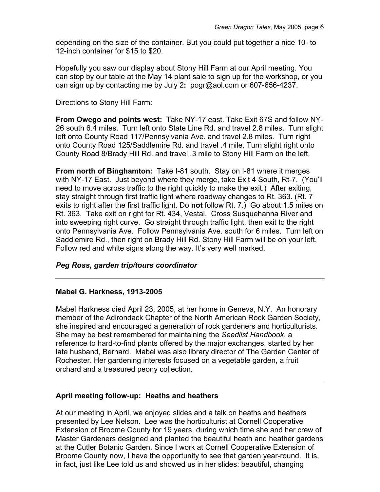depending on the size of the container. But you could put together a nice 10- to 12-inch container for \$15 to \$20.

Hopefully you saw our display about Stony Hill Farm at our April meeting. You can stop by our table at the May 14 plant sale to sign up for the workshop, or you can sign up by contacting me by July 2**:** pogr@aol.com or 607-656-4237.

Directions to Stony Hill Farm:

**From Owego and points west:** Take NY-17 east. Take Exit 67S and follow NY-26 south 6.4 miles. Turn left onto State Line Rd. and travel 2.8 miles. Turn slight left onto County Road 117/Pennsylvania Ave. and travel 2.8 miles. Turn right onto County Road 125/Saddlemire Rd. and travel .4 mile. Turn slight right onto County Road 8/Brady Hill Rd. and travel .3 mile to Stony Hill Farm on the left.

**From north of Binghamton:** Take I-81 south. Stay on I-81 where it merges with NY-17 East. Just beyond where they merge, take Exit 4 South, Rt-7. (You'll need to move across traffic to the right quickly to make the exit.) After exiting, stay straight through first traffic light where roadway changes to Rt. 363. (Rt. 7 exits to right after the first traffic light. Do **not** follow Rt. 7.) Go about 1.5 miles on Rt. 363. Take exit on right for Rt. 434, Vestal. Cross Susquehanna River and into sweeping right curve. Go straight through traffic light, then exit to the right onto Pennsylvania Ave. Follow Pennsylvania Ave. south for 6 miles. Turn left on Saddlemire Rd., then right on Brady Hill Rd. Stony Hill Farm will be on your left. Follow red and white signs along the way. It's very well marked.

## *Peg Ross, garden trip/tours coordinator*

### **Mabel G. Harkness, 1913-2005**

Mabel Harkness died April 23, 2005, at her home in Geneva, N.Y. An honorary member of the Adirondack Chapter of the North American Rock Garden Society, she inspired and encouraged a generation of rock gardeners and horticulturists. She may be best remembered for maintaining the *Seedlist Handbook*, a reference to hard-to-find plants offered by the major exchanges, started by her late husband, Bernard. Mabel was also library director of The Garden Center of Rochester. Her gardening interests focused on a vegetable garden, a fruit orchard and a treasured peony collection.

### **April meeting follow-up: Heaths and heathers**

At our meeting in April, we enjoyed slides and a talk on heaths and heathers presented by Lee Nelson. Lee was the horticulturist at Cornell Cooperative Extension of Broome County for 19 years, during which time she and her crew of Master Gardeners designed and planted the beautiful heath and heather gardens at the Cutler Botanic Garden. Since I work at Cornell Cooperative Extension of Broome County now, I have the opportunity to see that garden year-round. It is, in fact, just like Lee told us and showed us in her slides: beautiful, changing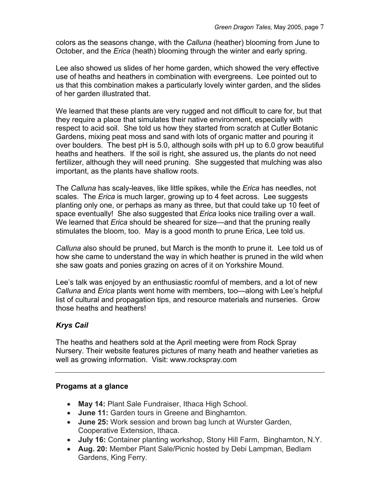colors as the seasons change, with the *Calluna* (heather) blooming from June to October, and the *Erica* (heath) blooming through the winter and early spring.

Lee also showed us slides of her home garden, which showed the very effective use of heaths and heathers in combination with evergreens. Lee pointed out to us that this combination makes a particularly lovely winter garden, and the slides of her garden illustrated that.

We learned that these plants are very rugged and not difficult to care for, but that they require a place that simulates their native environment, especially with respect to acid soil. She told us how they started from scratch at Cutler Botanic Gardens, mixing peat moss and sand with lots of organic matter and pouring it over boulders. The best pH is 5.0, although soils with pH up to 6.0 grow beautiful heaths and heathers. If the soil is right, she assured us, the plants do not need fertilizer, although they will need pruning. She suggested that mulching was also important, as the plants have shallow roots.

The *Calluna* has scaly-leaves, like little spikes, while the *Erica* has needles, not scales. The *Erica* is much larger, growing up to 4 feet across. Lee suggests planting only one, or perhaps as many as three, but that could take up 10 feet of space eventually! She also suggested that *Erica* looks nice trailing over a wall. We learned that *Erica* should be sheared for size—and that the pruning really stimulates the bloom, too. May is a good month to prune Erica, Lee told us.

*Calluna* also should be pruned, but March is the month to prune it. Lee told us of how she came to understand the way in which heather is pruned in the wild when she saw goats and ponies grazing on acres of it on Yorkshire Mound.

Lee's talk was enjoyed by an enthusiastic roomful of members, and a lot of new *Calluna* and *Erica* plants went home with members, too—along with Lee's helpful list of cultural and propagation tips, and resource materials and nurseries. Grow those heaths and heathers!

# *Krys Cail*

The heaths and heathers sold at the April meeting were from Rock Spray Nursery. Their website features pictures of many heath and heather varieties as well as growing information. Visit: www.rockspray.com

## **Progams at a glance**

- **May 14:** Plant Sale Fundraiser, Ithaca High School.
- **June 11:** Garden tours in Greene and Binghamton.
- **June 25:** Work session and brown bag lunch at Wurster Garden, Cooperative Extension, Ithaca.
- **July 16:** Container planting workshop, Stony Hill Farm, Binghamton, N.Y.
- **Aug. 20:** Member Plant Sale/Picnic hosted by Debi Lampman, Bedlam Gardens, King Ferry.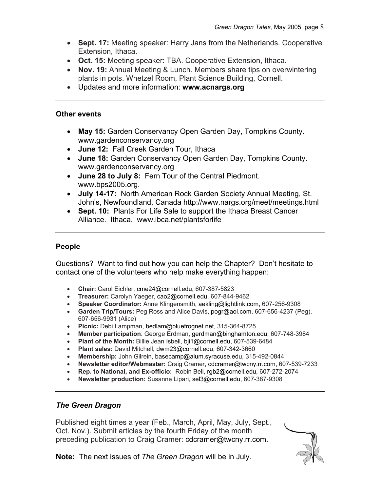- **Sept. 17:** Meeting speaker: Harry Jans from the Netherlands. Cooperative Extension, Ithaca.
- **Oct. 15:** Meeting speaker: TBA. Cooperative Extension, Ithaca.
- **Nov. 19:** Annual Meeting & Lunch. Members share tips on overwintering plants in pots. Whetzel Room, Plant Science Building, Cornell.
- Updates and more information: **www.acnargs.org**

#### **Other events**

- **May 15:** Garden Conservancy Open Garden Day, Tompkins County. www.gardenconservancy.org
- **June 12:** Fall Creek Garden Tour, Ithaca
- **June 18:** Garden Conservancy Open Garden Day, Tompkins County. www.gardenconservancy.org
- **June 28 to July 8:** Fern Tour of the Central Piedmont. www.bps2005.org.
- **July 14-17:** North American Rock Garden Society Annual Meeting, St. John's, Newfoundland, Canada http://www.nargs.org/meet/meetings.html
- **Sept. 10:** Plants For Life Sale to support the Ithaca Breast Cancer Alliance. Ithaca. www.ibca.net/plantsforlife

## **People**

Questions? Want to find out how you can help the Chapter? Don't hesitate to contact one of the volunteers who help make everything happen:

- **Chair:** Carol Eichler, cme24@cornell.edu, 607-387-5823
- **Treasurer:** Carolyn Yaeger, cao2@cornell.edu, 607-844-9462
- **Speaker Coordinator:** Anne Klingensmith, aekling@lightlink.com, 607-256-9308
- **Garden Trip/Tours:** Peg Ross and Alice Davis, pogr@aol.com, 607-656-4237 (Peg), 607-656-9931 (Alice)
- **Picnic:** Debi Lampman, bedlam@bluefrognet.net, 315-364-8725
- **Member participation**: George Erdman, gerdman@binghamton.edu, 607-748-3984
- **Plant of the Month:** Billie Jean Isbell, bji1@cornell.edu, 607-539-6484
- **Plant sales:** David Mitchell, dwm23@cornell.edu, 607-342-3660
- **Membership:** John Gilrein, basecamp@alum.syracuse.edu, 315-492-0844
- **Newsletter editor/Webmaster:** Craig Cramer, cdcramer@twcny.rr.com, 607-539-7233
- **Rep. to National, and Ex-officio:** Robin Bell, rgb2@cornell.edu, 607-272-2074
- **Newsletter production:** Susanne Lipari, sel3@cornell.edu, 607-387-9308

## *The Green Dragon*

Published eight times a year (Feb., March, April, May, July, Sept., Oct. Nov.). Submit articles by the fourth Friday of the month preceding publication to Craig Cramer: cdcramer@twcny.rr.com.



**Note:** The next issues of *The Green Dragon* will be in July.